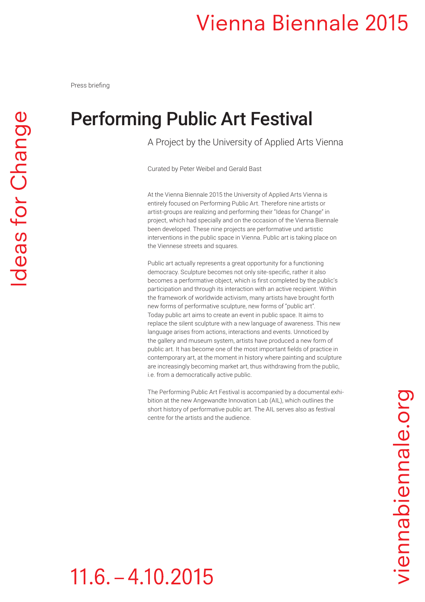### Performing Public Art Festival

A Project by the University of Applied Arts Vienna

Curated by Peter Weibel and Gerald Bast

At the Vienna Biennale 2015 the University of Applied Arts Vienna is entirely focused on Performing Public Art. Therefore nine artists or artist-groups are realizing and performing their "Ideas for Change" in project, which had specially and on the occasion of the Vienna Biennale been developed. These nine projects are performative und artistic interventions in the public space in Vienna. Public art is taking place on the Viennese streets and squares.

Public art actually represents a great opportunity for a functioning democracy. Sculpture becomes not only site-specific, rather it also becomes a performative object, which is first completed by the public's participation and through its interaction with an active recipient. Within the framework of worldwide activism, many artists have brought forth new forms of performative sculpture, new forms of "public art". Today public art aims to create an event in public space. It aims to replace the silent sculpture with a new language of awareness. This new language arises from actions, interactions and events. Unnoticed by the gallery and museum system, artists have produced a new form of public art. It has become one of the most important fields of practice in contemporary art, at the moment in history where painting and sculpture are increasingly becoming market art, thus withdrawing from the public, i.e. from a democratically active public.

The Performing Public Art Festival is accompanied by a documental exhibition at the new Angewandte Innovation Lab (AIL), which outlines the short history of performative public art. The AIL serves also as festival centre for the artists and the audience.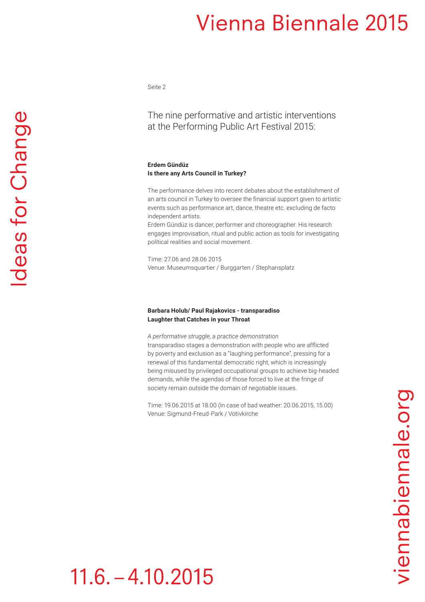Seite 2

The nine performative and artistic interventions at the Performing Public Art Festival 2015:

### **Erdem Gündüz Is there any Arts Council in Turkey?**

The performance delves into recent debates about the establishment of an arts council in Turkey to oversee the financial support given to artistic events such as performance art, dance, theatre etc. excluding de facto independent artists.

Erdem Gündüz is dancer, performer and choreographer. His research engages improvisation, ritual and public action as tools for investigating political realities and social movement.

Time: 27.06 and 28.06 2015 Venue: Museumsquartier / Burggarten / Stephansplatz

### **Barbara Holub/ Paul Rajakovics - transparadiso Laughter that Catches in your Throat**

*A performative struggle, a practice demonstration* transparadiso stages a demonstration with people who are afflicted by poverty and exclusion as a "laughing performance", pressing for a renewal of this fundamental democratic right, which is increasingly being misused by privileged occupational groups to achieve big-headed demands, while the agendas of those forced to live at the fringe of society remain outside the domain of negotiable issues.

Time: 19.06.2015 at 18.00 (In case of bad weather: 20.06.2015, 15.00) Venue: Sigmund-Freud-Park / Votivkirche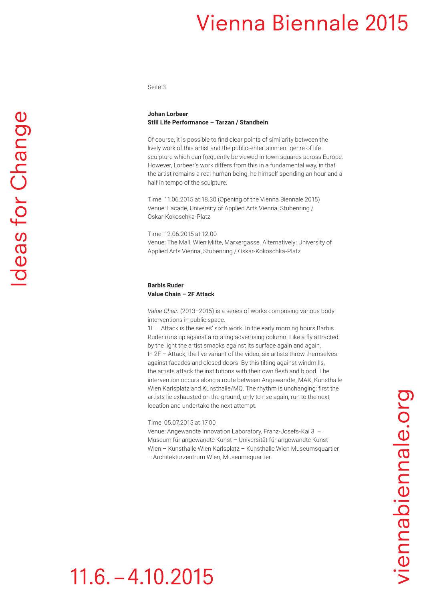Seite 3

### **Johan Lorbeer Still Life Performance – Tarzan / Standbein**

Of course, it is possible to find clear points of similarity between the lively work of this artist and the public-entertainment genre of life sculpture which can frequently be viewed in town squares across Europe. However, Lorbeer's work differs from this in a fundamental way, in that the artist remains a real human being, he himself spending an hour and a half in tempo of the sculpture.

Time: 11.06.2015 at 18.30 (Opening of the Vienna Biennale 2015) Venue: Facade, University of Applied Arts Vienna, Stubenring / Oskar-Kokoschka-Platz

Time: 12.06.2015 at 12.00 Venue: The Mall, Wien Mitte, Marxergasse. Alternatively: University of Applied Arts Vienna, Stubenring / Oskar-Kokoschka-Platz

### **Barbis Ruder Value Chain – 2F Attack**

*Value Chain* (2013–2015) is a series of works comprising various body interventions in public space.

1F – Attack is the series' sixth work. In the early morning hours Barbis Ruder runs up against a rotating advertising column. Like a fly attracted by the light the artist smacks against its surface again and again. In 2F – Attack, the live variant of the video, six artists throw themselves against facades and closed doors. By this tilting against windmills, the artists attack the institutions with their own flesh and blood. The intervention occurs along a route between Angewandte, MAK, Kunsthalle Wien Karlsplatz and Kunsthalle/MQ. The rhythm is unchanging: first the artists lie exhausted on the ground, only to rise again, run to the next location and undertake the next attempt.

Time: 05.07.2015 at 17.00

Venue: Angewandte Innovation Laboratory, Franz-Josefs-Kai 3 – Museum für angewandte Kunst – Universität für angewandte Kunst Wien – Kunsthalle Wien Karlsplatz – Kunsthalle Wien Museumsquartier – Architekturzentrum Wien, Museumsquartier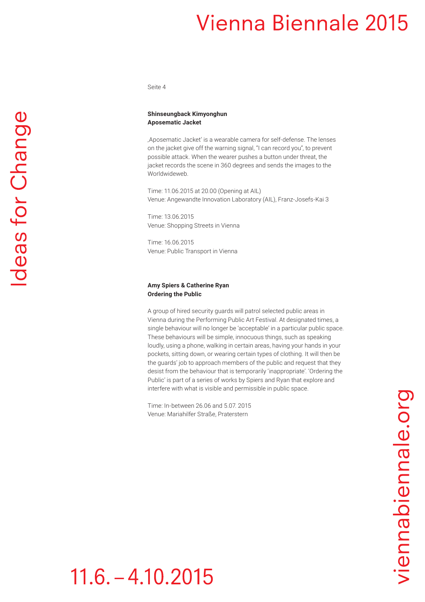Seite 4

# deas for Change

**Shinseungback Kimyonghun Aposematic Jacket**

'Aposematic Jacket' is a wearable camera for self-defense. The lenses on the jacket give off the warning signal, "I can record you", to prevent possible attack. When the wearer pushes a button under threat, the jacket records the scene in 360 degrees and sends the images to the Worldwideweb.

Time: 11.06.2015 at 20.00 (Opening at AIL) Venue: Angewandte Innovation Laboratory (AIL), Franz-Josefs-Kai 3

Time: 13.06.2015 Venue: Shopping Streets in Vienna

Time: 16.06.2015 Venue: Public Transport in Vienna

### **Amy Spiers & Catherine Ryan Ordering the Public**

A group of hired security guards will patrol selected public areas in Vienna during the Performing Public Art Festival. At designated times, a single behaviour will no longer be 'acceptable' in a particular public space. These behaviours will be simple, innocuous things, such as speaking loudly, using a phone, walking in certain areas, having your hands in your pockets, sitting down, or wearing certain types of clothing. It will then be the guards' job to approach members of the public and request that they desist from the behaviour that is temporarily 'inappropriate'. 'Ordering the Public' is part of a series of works by Spiers and Ryan that explore and interfere with what is visible and permissible in public space.

Time: In-between 26.06 and 5.07. 2015 Venue: Mariahilfer Straße, Praterstern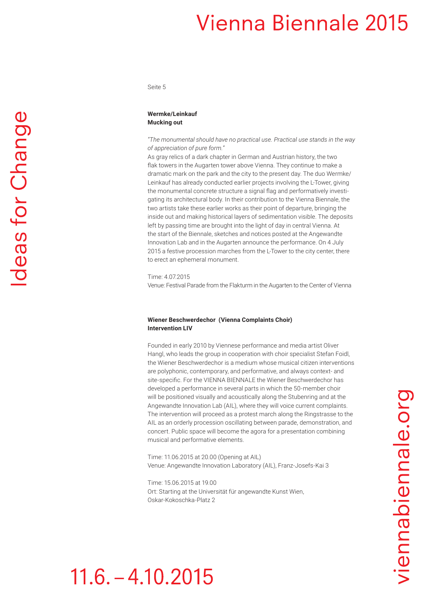Seite 5

### **Wermke/Leinkauf Mucking out**

*"The monumental should have no practical use. Practical use stands in the way of appreciation of pure form."* 

As gray relics of a dark chapter in German and Austrian history, the two flak towers in the Augarten tower above Vienna. They continue to make a dramatic mark on the park and the city to the present day. The duo Wermke/ Leinkauf has already conducted earlier projects involving the L-Tower, giving the monumental concrete structure a signal flag and performatively investigating its architectural body. In their contribution to the Vienna Biennale, the two artists take these earlier works as their point of departure, bringing the inside out and making historical layers of sedimentation visible. The deposits left by passing time are brought into the light of day in central Vienna. At the start of the Biennale, sketches and notices posted at the Angewandte Innovation Lab and in the Augarten announce the performance. On 4 July 2015 a festive procession marches from the L-Tower to the city center, there to erect an ephemeral monument.

Time: 4.07.2015

Venue: Festival Parade from the Flakturm in the Augarten to the Center of Vienna

### **Wiener Beschwerdechor (Vienna Complaints Choir) Intervention LIV**

Founded in early 2010 by Viennese performance and media artist Oliver Hangl, who leads the group in cooperation with choir specialist Stefan Foidl, the Wiener Beschwerdechor is a medium whose musical citizen interventions are polyphonic, contemporary, and performative, and always context- and site-specific. For the VIENNA BIENNALE the Wiener Beschwerdechor has developed a performance in several parts in which the 50-member choir will be positioned visually and acoustically along the Stubenring and at the Angewandte Innovation Lab (AIL), where they will voice current complaints. The intervention will proceed as a protest march along the Ringstrasse to the AIL as an orderly procession oscillating between parade, demonstration, and concert. Public space will become the agora for a presentation combining musical and performative elements.

Time: 11.06.2015 at 20.00 (Opening at AIL) Venue: Angewandte Innovation Laboratory (AIL), Franz-Josefs-Kai 3

Time: 15.06.2015 at 19.00 Ort: Starting at the Universität für angewandte Kunst Wien, Oskar-Kokoschka-Platz 2